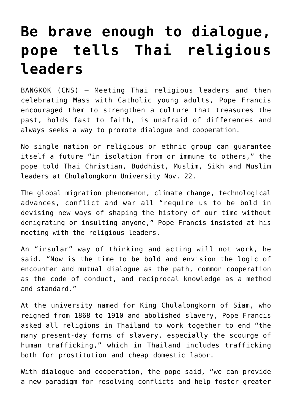## **[Be brave enough to dialogue,](https://www.osvnews.com/2019/11/22/be-brave-enough-to-dialogue-pope-tells-thai-religious-leaders/) [pope tells Thai religious](https://www.osvnews.com/2019/11/22/be-brave-enough-to-dialogue-pope-tells-thai-religious-leaders/) [leaders](https://www.osvnews.com/2019/11/22/be-brave-enough-to-dialogue-pope-tells-thai-religious-leaders/)**

BANGKOK (CNS) — Meeting Thai religious leaders and then celebrating Mass with Catholic young adults, Pope Francis encouraged them to strengthen a culture that treasures the past, holds fast to faith, is unafraid of differences and always seeks a way to promote dialogue and cooperation.

No single nation or religious or ethnic group can guarantee itself a future "in isolation from or immune to others," the pope told Thai Christian, Buddhist, Muslim, Sikh and Muslim leaders at Chulalongkorn University Nov. 22.

The global migration phenomenon, climate change, technological advances, conflict and war all "require us to be bold in devising new ways of shaping the history of our time without denigrating or insulting anyone," Pope Francis insisted at his meeting with the religious leaders.

An "insular" way of thinking and acting will not work, he said. "Now is the time to be bold and envision the logic of encounter and mutual dialogue as the path, common cooperation as the code of conduct, and reciprocal knowledge as a method and standard."

At the university named for King Chulalongkorn of Siam, who reigned from 1868 to 1910 and abolished slavery, Pope Francis asked all religions in Thailand to work together to end "the many present-day forms of slavery, especially the scourge of human trafficking," which in Thailand includes trafficking both for prostitution and cheap domestic labor.

With dialogue and cooperation, the pope said, "we can provide a new paradigm for resolving conflicts and help foster greater